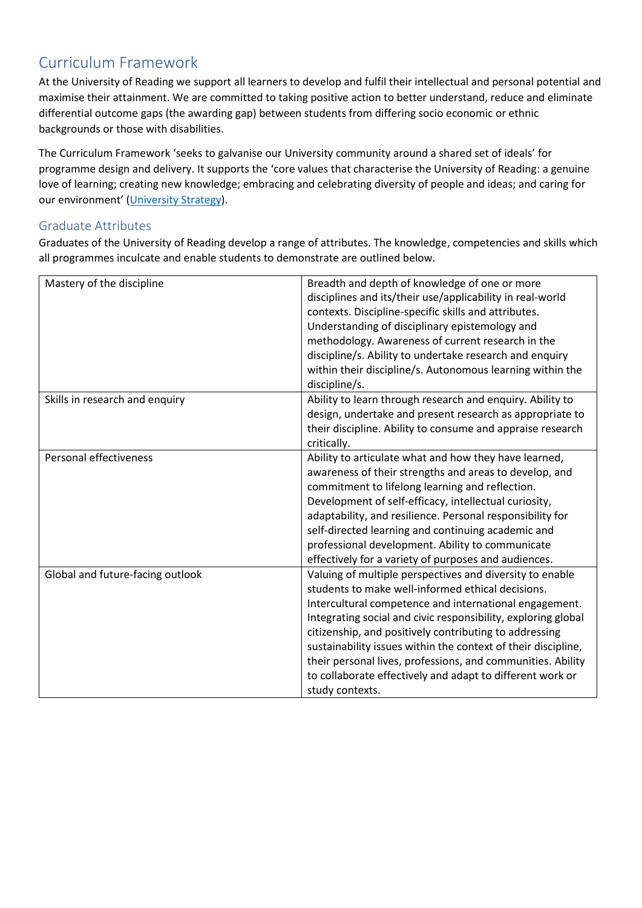# Curriculum Framework

At the University of Reading we support all learners to develop and fulfil their intellectual and personal potential and maximise their attainment. We are committed to taking positive action to better understand, reduce and eliminate differential outcome gaps (the awarding gap) between students from differing socio economic or ethnic backgrounds or those with disabilities.

The Curriculum Framework 'seeks to galvanise our University community around a shared set of ideals' for programme design and delivery. It supports the 'core values that characterise the University of Reading: a genuine love of learning; creating new knowledge; embracing and celebrating diversity of people and ideas; and caring for our environment' [\(University Strategy\)](https://www.reading.ac.uk/about/strategy.aspx).

# Graduate Attributes

Graduates of the University of Reading develop a range of attributes. The knowledge, competencies and skills which all programmes inculcate and enable students to demonstrate are outlined below.

| Mastery of the discipline        | Breadth and depth of knowledge of one or more<br>disciplines and its/their use/applicability in real-world<br>contexts. Discipline-specific skills and attributes.<br>Understanding of disciplinary epistemology and<br>methodology. Awareness of current research in the<br>discipline/s. Ability to undertake research and enquiry<br>within their discipline/s. Autonomous learning within the<br>discipline/s.                                                                                                 |
|----------------------------------|--------------------------------------------------------------------------------------------------------------------------------------------------------------------------------------------------------------------------------------------------------------------------------------------------------------------------------------------------------------------------------------------------------------------------------------------------------------------------------------------------------------------|
| Skills in research and enquiry   | Ability to learn through research and enquiry. Ability to<br>design, undertake and present research as appropriate to<br>their discipline. Ability to consume and appraise research<br>critically.                                                                                                                                                                                                                                                                                                                 |
| Personal effectiveness           | Ability to articulate what and how they have learned,<br>awareness of their strengths and areas to develop, and<br>commitment to lifelong learning and reflection.<br>Development of self-efficacy, intellectual curiosity,<br>adaptability, and resilience. Personal responsibility for<br>self-directed learning and continuing academic and<br>professional development. Ability to communicate<br>effectively for a variety of purposes and audiences.                                                         |
| Global and future-facing outlook | Valuing of multiple perspectives and diversity to enable<br>students to make well-informed ethical decisions.<br>Intercultural competence and international engagement.<br>Integrating social and civic responsibility, exploring global<br>citizenship, and positively contributing to addressing<br>sustainability issues within the context of their discipline,<br>their personal lives, professions, and communities. Ability<br>to collaborate effectively and adapt to different work or<br>study contexts. |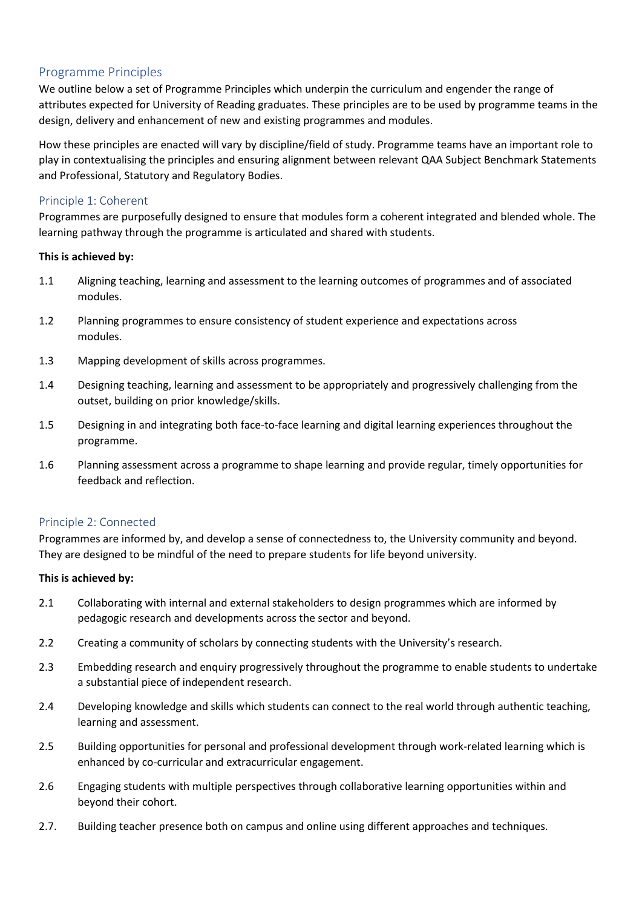# Programme Principles

We outline below a set of Programme Principles which underpin the curriculum and engender the range of attributes expected for University of Reading graduates. These principles are to be used by programme teams in the design, delivery and enhancement of new and existing programmes and modules.

How these principles are enacted will vary by discipline/field of study. Programme teams have an important role to play in contextualising the principles and ensuring alignment between relevant QAA Subject Benchmark Statements and Professional, Statutory and Regulatory Bodies.

## Principle 1: Coherent

Programmes are purposefully designed to ensure that modules form a coherent integrated and blended whole. The learning pathway through the programme is articulated and shared with students.

## **This is achieved by:**

- 1.1 Aligning teaching, learning and assessment to the learning outcomes of programmes and of associated modules.
- 1.2 Planning programmes to ensure consistency of student experience and expectations across modules.
- 1.3 Mapping development of skills across programmes.
- 1.4 Designing teaching, learning and assessment to be appropriately and progressively challenging from the outset, building on prior knowledge/skills.
- 1.5 Designing in and integrating both face-to-face learning and digital learning experiences throughout the programme.
- 1.6 Planning assessment across a programme to shape learning and provide regular, timely opportunities for feedback and reflection.

## Principle 2: Connected

Programmes are informed by, and develop a sense of connectedness to, the University community and beyond. They are designed to be mindful of the need to prepare students for life beyond university.

## **This is achieved by:**

- 2.1 Collaborating with internal and external stakeholders to design programmes which are informed by pedagogic research and developments across the sector and beyond.
- 2.2 Creating a community of scholars by connecting students with the University's research.
- 2.3 Embedding research and enquiry progressively throughout the programme to enable students to undertake a substantial piece of independent research.
- 2.4 Developing knowledge and skills which students can connect to the real world through authentic teaching, learning and assessment.
- 2.5 Building opportunities for personal and professional development through work-related learning which is enhanced by co-curricular and extracurricular engagement.
- 2.6 Engaging students with multiple perspectives through collaborative learning opportunities within and beyond their cohort.
- 2.7. Building teacher presence both on campus and online using different approaches and techniques.